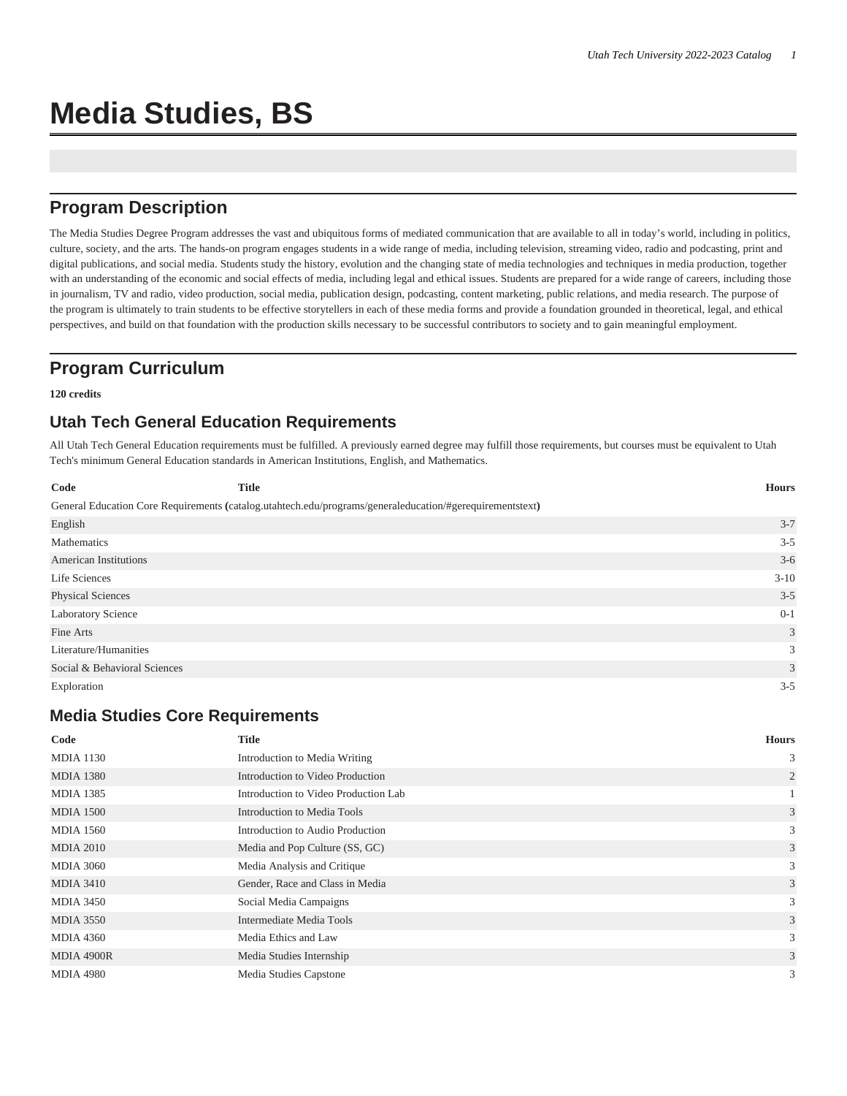# **Media Studies, BS**

## **Program Description**

The Media Studies Degree Program addresses the vast and ubiquitous forms of mediated communication that are available to all in today's world, including in politics, culture, society, and the arts. The hands-on program engages students in a wide range of media, including television, streaming video, radio and podcasting, print and digital publications, and social media. Students study the history, evolution and the changing state of media technologies and techniques in media production, together with an understanding of the economic and social effects of media, including legal and ethical issues. Students are prepared for a wide range of careers, including those in journalism, TV and radio, video production, social media, publication design, podcasting, content marketing, public relations, and media research. The purpose of the program is ultimately to train students to be effective storytellers in each of these media forms and provide a foundation grounded in theoretical, legal, and ethical perspectives, and build on that foundation with the production skills necessary to be successful contributors to society and to gain meaningful employment.

## **Program Curriculum**

**120 credits**

## **Utah Tech General Education Requirements**

All Utah Tech General Education requirements must be fulfilled. A previously earned degree may fulfill those requirements, but courses must be equivalent to Utah Tech's minimum General Education standards in American Institutions, English, and Mathematics.

| Code                         | <b>Title</b> |                                                                                                          | <b>Hours</b> |
|------------------------------|--------------|----------------------------------------------------------------------------------------------------------|--------------|
|                              |              | General Education Core Requirements (catalog.utahtech.edu/programs/generaleducation/#gerequirementstext) |              |
| English                      |              |                                                                                                          | $3 - 7$      |
| Mathematics                  |              |                                                                                                          | $3 - 5$      |
| <b>American Institutions</b> |              |                                                                                                          | $3-6$        |
| Life Sciences                |              |                                                                                                          | $3 - 10$     |
| <b>Physical Sciences</b>     |              |                                                                                                          | $3 - 5$      |
| Laboratory Science           |              |                                                                                                          | $0 - 1$      |
| Fine Arts                    |              |                                                                                                          | 3            |
| Literature/Humanities        |              |                                                                                                          | 3            |
| Social & Behavioral Sciences |              |                                                                                                          | 3            |
| Exploration                  |              |                                                                                                          | $3 - 5$      |

#### **Media Studies Core Requirements**

| Code             | <b>Title</b>                         | <b>Hours</b>   |
|------------------|--------------------------------------|----------------|
| <b>MDIA 1130</b> | Introduction to Media Writing        | 3              |
| <b>MDIA 1380</b> | Introduction to Video Production     | $\overline{2}$ |
| <b>MDIA 1385</b> | Introduction to Video Production Lab |                |
| <b>MDIA 1500</b> | Introduction to Media Tools          | 3              |
| <b>MDIA 1560</b> | Introduction to Audio Production     | 3              |
| <b>MDIA 2010</b> | Media and Pop Culture (SS, GC)       | 3              |
| <b>MDIA 3060</b> | Media Analysis and Critique          | 3              |
| <b>MDIA 3410</b> | Gender, Race and Class in Media      | 3              |
| <b>MDIA 3450</b> | Social Media Campaigns               | 3              |
| <b>MDIA 3550</b> | Intermediate Media Tools             | 3              |
| <b>MDIA 4360</b> | Media Ethics and Law                 | 3              |
| MDIA 4900R       | Media Studies Internship             | 3              |
| <b>MDIA 4980</b> | Media Studies Capstone               | 3              |